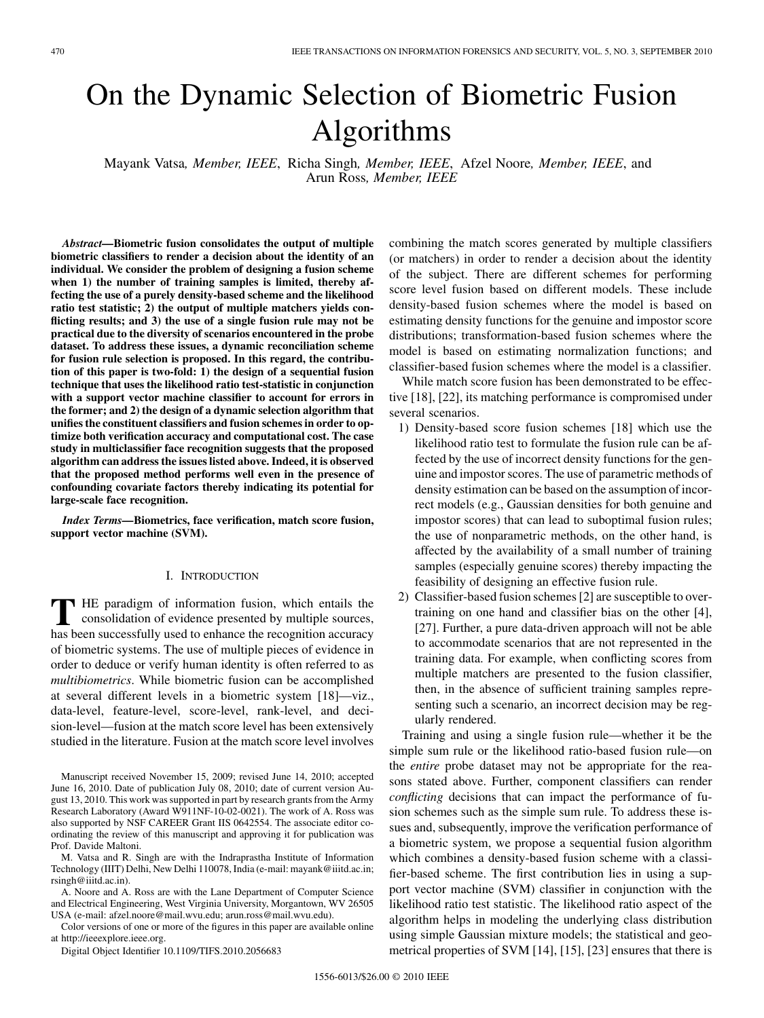# On the Dynamic Selection of Biometric Fusion Algorithms

Mayank Vatsa*, Member, IEEE*, Richa Singh*, Member, IEEE*, Afzel Noore*, Member, IEEE*, and Arun Ross*, Member, IEEE*

*Abstract—***Biometric fusion consolidates the output of multiple biometric classifiers to render a decision about the identity of an individual. We consider the problem of designing a fusion scheme when 1) the number of training samples is limited, thereby affecting the use of a purely density-based scheme and the likelihood ratio test statistic; 2) the output of multiple matchers yields conflicting results; and 3) the use of a single fusion rule may not be practical due to the diversity of scenarios encountered in the probe dataset. To address these issues, a dynamic reconciliation scheme for fusion rule selection is proposed. In this regard, the contribution of this paper is two-fold: 1) the design of a sequential fusion technique that uses the likelihood ratio test-statistic in conjunction with a support vector machine classifier to account for errors in the former; and 2) the design of a dynamic selection algorithm that unifies the constituent classifiers and fusion schemes in order to optimize both verification accuracy and computational cost. The case study in multiclassifier face recognition suggests that the proposed algorithm can address the issues listed above. Indeed, it is observed that the proposed method performs well even in the presence of confounding covariate factors thereby indicating its potential for large-scale face recognition.**

*Index Terms—***Biometrics, face verification, match score fusion, support vector machine (SVM).**

## I. INTRODUCTION

**T**HE paradigm of information fusion, which entails the consolidation of evidence presented by multiple sources, consolidation of evidence presented by multiple sources, has been successfully used to enhance the recognition accuracy of biometric systems. The use of multiple pieces of evidence in order to deduce or verify human identity is often referred to as *multibiometrics*. While biometric fusion can be accomplished at several different levels in a biometric system [18]—viz., data-level, feature-level, score-level, rank-level, and decision-level—fusion at the match score level has been extensively studied in the literature. Fusion at the match score level involves

Color versions of one or more of the figures in this paper are available online at http://ieeexplore.ieee.org.

Digital Object Identifier 10.1109/TIFS.2010.2056683

combining the match scores generated by multiple classifiers (or matchers) in order to render a decision about the identity of the subject. There are different schemes for performing score level fusion based on different models. These include density-based fusion schemes where the model is based on estimating density functions for the genuine and impostor score distributions; transformation-based fusion schemes where the model is based on estimating normalization functions; and classifier-based fusion schemes where the model is a classifier.

While match score fusion has been demonstrated to be effective [18], [22], its matching performance is compromised under several scenarios.

- 1) Density-based score fusion schemes [18] which use the likelihood ratio test to formulate the fusion rule can be affected by the use of incorrect density functions for the genuine and impostor scores. The use of parametric methods of density estimation can be based on the assumption of incorrect models (e.g., Gaussian densities for both genuine and impostor scores) that can lead to suboptimal fusion rules; the use of nonparametric methods, on the other hand, is affected by the availability of a small number of training samples (especially genuine scores) thereby impacting the feasibility of designing an effective fusion rule.
- 2) Classifier-based fusion schemes [2] are susceptible to overtraining on one hand and classifier bias on the other [4], [27]. Further, a pure data-driven approach will not be able to accommodate scenarios that are not represented in the training data. For example, when conflicting scores from multiple matchers are presented to the fusion classifier, then, in the absence of sufficient training samples representing such a scenario, an incorrect decision may be regularly rendered.

Training and using a single fusion rule—whether it be the simple sum rule or the likelihood ratio-based fusion rule—on the *entire* probe dataset may not be appropriate for the reasons stated above. Further, component classifiers can render *conflicting* decisions that can impact the performance of fusion schemes such as the simple sum rule. To address these issues and, subsequently, improve the verification performance of a biometric system, we propose a sequential fusion algorithm which combines a density-based fusion scheme with a classifier-based scheme. The first contribution lies in using a support vector machine (SVM) classifier in conjunction with the likelihood ratio test statistic. The likelihood ratio aspect of the algorithm helps in modeling the underlying class distribution using simple Gaussian mixture models; the statistical and geometrical properties of SVM [14], [15], [23] ensures that there is

Manuscript received November 15, 2009; revised June 14, 2010; accepted June 16, 2010. Date of publication July 08, 2010; date of current version August 13, 2010. This work was supported in part by research grants from the Army Research Laboratory (Award W911NF-10-02-0021). The work of A. Ross was also supported by NSF CAREER Grant IIS 0642554. The associate editor coordinating the review of this manuscript and approving it for publication was Prof. Davide Maltoni.

M. Vatsa and R. Singh are with the Indraprastha Institute of Information Technology (IIIT) Delhi, New Delhi 110078, India (e-mail: mayank@iiitd.ac.in; rsingh@iiitd.ac.in).

A. Noore and A. Ross are with the Lane Department of Computer Science and Electrical Engineering, West Virginia University, Morgantown, WV 26505 USA (e-mail: afzel.noore@mail.wvu.edu; arun.ross@mail.wvu.edu).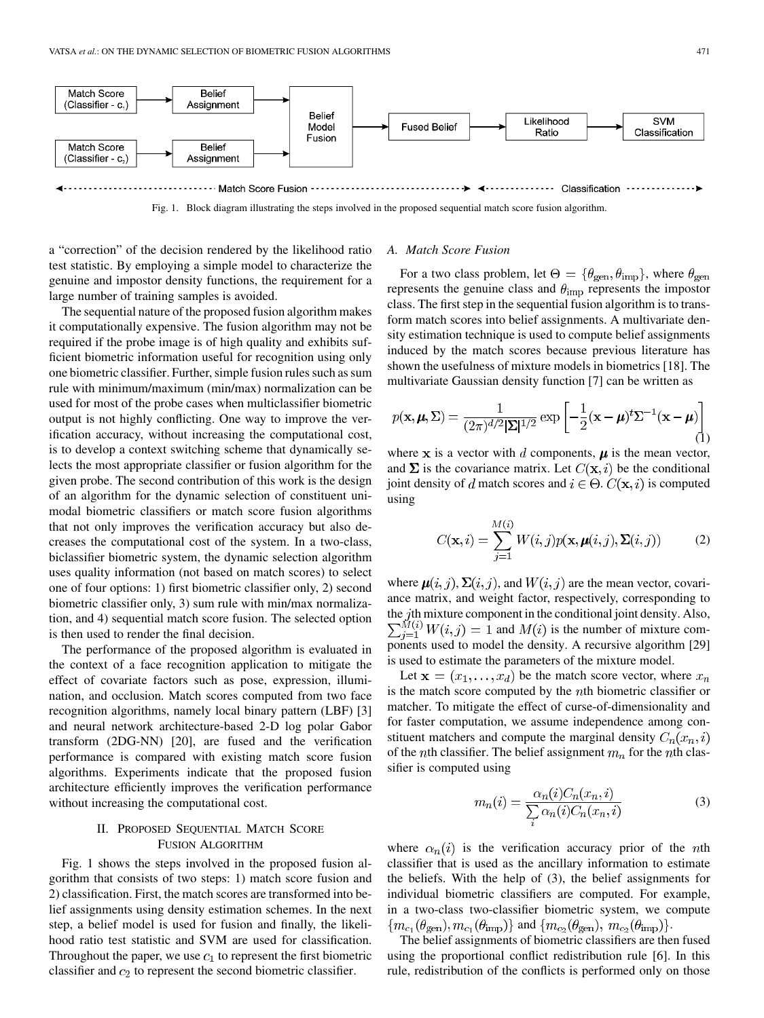

Fig. 1. Block diagram illustrating the steps involved in the proposed sequential match score fusion algorithm.

a "correction" of the decision rendered by the likelihood ratio test statistic. By employing a simple model to characterize the genuine and impostor density functions, the requirement for a large number of training samples is avoided.

The sequential nature of the proposed fusion algorithm makes it computationally expensive. The fusion algorithm may not be required if the probe image is of high quality and exhibits sufficient biometric information useful for recognition using only one biometric classifier. Further, simple fusion rules such as sum rule with minimum/maximum (min/max) normalization can be used for most of the probe cases when multiclassifier biometric output is not highly conflicting. One way to improve the verification accuracy, without increasing the computational cost, is to develop a context switching scheme that dynamically selects the most appropriate classifier or fusion algorithm for the given probe. The second contribution of this work is the design of an algorithm for the dynamic selection of constituent unimodal biometric classifiers or match score fusion algorithms that not only improves the verification accuracy but also decreases the computational cost of the system. In a two-class, biclassifier biometric system, the dynamic selection algorithm uses quality information (not based on match scores) to select one of four options: 1) first biometric classifier only, 2) second biometric classifier only, 3) sum rule with min/max normalization, and 4) sequential match score fusion. The selected option is then used to render the final decision.

The performance of the proposed algorithm is evaluated in the context of a face recognition application to mitigate the effect of covariate factors such as pose, expression, illumination, and occlusion. Match scores computed from two face recognition algorithms, namely local binary pattern (LBF) [3] and neural network architecture-based 2-D log polar Gabor transform (2DG-NN) [20], are fused and the verification performance is compared with existing match score fusion algorithms. Experiments indicate that the proposed fusion architecture efficiently improves the verification performance without increasing the computational cost.

# II. PROPOSED SEQUENTIAL MATCH SCORE FUSION ALGORITHM

Fig. 1 shows the steps involved in the proposed fusion algorithm that consists of two steps: 1) match score fusion and 2) classification. First, the match scores are transformed into belief assignments using density estimation schemes. In the next step, a belief model is used for fusion and finally, the likelihood ratio test statistic and SVM are used for classification. Throughout the paper, we use  $c_1$  to represent the first biometric classifier and  $c_2$  to represent the second biometric classifier.

## *A. Match Score Fusion*

For a two class problem, let  $\Theta = {\theta_{\text{gen}}, \theta_{\text{imp}}},$  where  $\theta_{\text{gen}}$ represents the genuine class and  $\theta_{\text{imp}}$  represents the impostor class. The first step in the sequential fusion algorithm is to transform match scores into belief assignments. A multivariate density estimation technique is used to compute belief assignments induced by the match scores because previous literature has shown the usefulness of mixture models in biometrics [18]. The multivariate Gaussian density function [7] can be written as

$$
p(\mathbf{x}, \boldsymbol{\mu}, \boldsymbol{\Sigma}) = \frac{1}{(2\pi)^{d/2} |\boldsymbol{\Sigma}|^{1/2}} \exp\left[-\frac{1}{2}(\mathbf{x} - \boldsymbol{\mu})^t \boldsymbol{\Sigma}^{-1}(\mathbf{x} - \boldsymbol{\mu})\right]
$$
(1)

where **x** is a vector with d components,  $\mu$  is the mean vector, and  $\Sigma$  is the covariance matrix. Let  $C(\mathbf{x}, i)$  be the conditional joint density of d match scores and  $i \in \Theta$ .  $C(\mathbf{x}, i)$  is computed using

$$
C(\mathbf{x}, i) = \sum_{j=1}^{M(i)} W(i, j) p(\mathbf{x}, \boldsymbol{\mu}(i, j), \boldsymbol{\Sigma}(i, j))
$$
 (2)

where  $\mu(i, j)$ ,  $\Sigma(i, j)$ , and  $W(i, j)$  are the mean vector, covariance matrix, and weight factor, respectively, corresponding to the  $j$ th mixture component in the conditional joint density. Also,  $\sum_{i=1}^{M(i)} W(i, j) = 1$  and  $M(i)$  is the number of mixture components used to model the density. A recursive algorithm [29] is used to estimate the parameters of the mixture model.

Let  $\mathbf{x} = (x_1, \dots, x_d)$  be the match score vector, where  $x_n$ is the match score computed by the *th biometric classifier or* matcher. To mitigate the effect of curse-of-dimensionality and for faster computation, we assume independence among constituent matchers and compute the marginal density  $C_n(x_n, i)$ of the *n*th classifier. The belief assignment  $m_n$  for the *n*th classifier is computed using

$$
m_n(i) = \frac{\alpha_n(i)C_n(x_n, i)}{\sum_i \alpha_n(i)C_n(x_n, i)}
$$
(3)

where  $\alpha_n(i)$  is the verification accuracy prior of the *n*th classifier that is used as the ancillary information to estimate the beliefs. With the help of (3), the belief assignments for individual biometric classifiers are computed. For example, in a two-class two-classifier biometric system, we compute  ${m_{c_1}(\theta_{\text{gen}}), m_{c_1}(\theta_{\text{imp}})}$  and  ${m_{c_2}(\theta_{\text{gen}}), m_{c_2}(\theta_{\text{imp}})}.$ 

The belief assignments of biometric classifiers are then fused using the proportional conflict redistribution rule [6]. In this rule, redistribution of the conflicts is performed only on those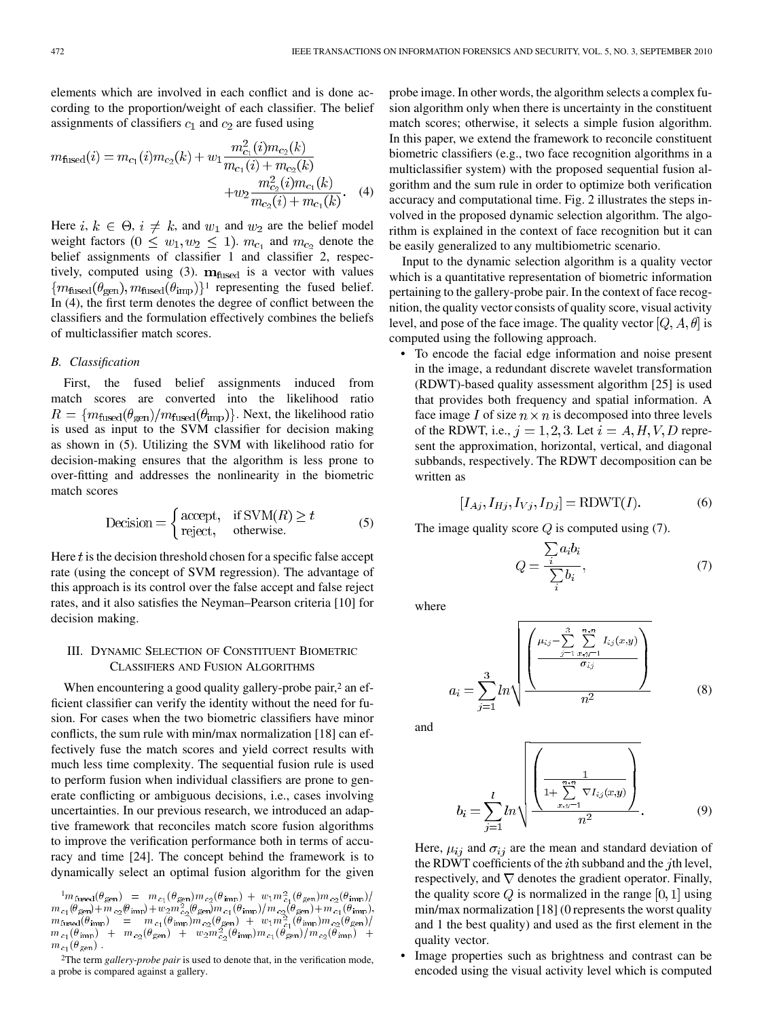elements which are involved in each conflict and is done according to the proportion/weight of each classifier. The belief assignments of classifiers  $c_1$  and  $c_2$  are fused using

$$
m_{\text{fused}}(i) = m_{c_1}(i)m_{c_2}(k) + w_1 \frac{m_{c_1}^2(i)m_{c_2}(k)}{m_{c_1}(i) + m_{c_2}(k)} + w_2 \frac{m_{c_2}^2(i)m_{c_1}(k)}{m_{c_2}(i) + m_{c_1}(k)}.
$$
 (4)

Here i,  $k \in \Theta$ ,  $i \neq k$ , and  $w_1$  and  $w_2$  are the belief model weight factors  $(0 \leq w_1, w_2 \leq 1)$ .  $m_{c_1}$  and  $m_{c_2}$  denote the belief assignments of classifier 1 and classifier 2, respectively, computed using  $(3)$ .  $m_{\text{fused}}$  is a vector with values  ${m_{\text{fused}}(\theta_{\text{gen}}), m_{\text{fused}}(\theta_{\text{imp}})}$ <sup>1</sup> representing the fused belief. In (4), the first term denotes the degree of conflict between the classifiers and the formulation effectively combines the beliefs of multiclassifier match scores.

## *B. Classification*

First, the fused belief assignments induced from match scores are converted into the likelihood ratio  $R = \{m_{\text{fused}}(\theta_{\text{gen}})/m_{\text{fused}}(\theta_{\text{imp}})\}\.$  Next, the likelihood ratio is used as input to the SVM classifier for decision making as shown in (5). Utilizing the SVM with likelihood ratio for decision-making ensures that the algorithm is less prone to over-fitting and addresses the nonlinearity in the biometric match scores

Decision = 
$$
\begin{cases} \text{accept}, & \text{if } \text{SVM}(R) \ge t \\ \text{reject}, & \text{otherwise.} \end{cases}
$$
 (5)

Here  $t$  is the decision threshold chosen for a specific false accept rate (using the concept of SVM regression). The advantage of this approach is its control over the false accept and false reject rates, and it also satisfies the Neyman–Pearson criteria [10] for decision making.

# III. DYNAMIC SELECTION OF CONSTITUENT BIOMETRIC CLASSIFIERS AND FUSION ALGORITHMS

When encountering a good quality gallery-probe pair,<sup>2</sup> an efficient classifier can verify the identity without the need for fusion. For cases when the two biometric classifiers have minor conflicts, the sum rule with min/max normalization [18] can effectively fuse the match scores and yield correct results with much less time complexity. The sequential fusion rule is used to perform fusion when individual classifiers are prone to generate conflicting or ambiguous decisions, i.e., cases involving uncertainties. In our previous research, we introduced an adaptive framework that reconciles match score fusion algorithms to improve the verification performance both in terms of accuracy and time [24]. The concept behind the framework is to dynamically select an optimal fusion algorithm for the given

probe image. In other words, the algorithm selects a complex fusion algorithm only when there is uncertainty in the constituent match scores; otherwise, it selects a simple fusion algorithm. In this paper, we extend the framework to reconcile constituent biometric classifiers (e.g., two face recognition algorithms in a multiclassifier system) with the proposed sequential fusion algorithm and the sum rule in order to optimize both verification accuracy and computational time. Fig. 2 illustrates the steps involved in the proposed dynamic selection algorithm. The algorithm is explained in the context of face recognition but it can be easily generalized to any multibiometric scenario.

Input to the dynamic selection algorithm is a quality vector which is a quantitative representation of biometric information pertaining to the gallery-probe pair. In the context of face recognition, the quality vector consists of quality score, visual activity level, and pose of the face image. The quality vector  $[Q, A, \theta]$  is computed using the following approach.

• To encode the facial edge information and noise present in the image, a redundant discrete wavelet transformation (RDWT)-based quality assessment algorithm [25] is used that provides both frequency and spatial information. A face image I of size  $n \times n$  is decomposed into three levels of the RDWT, i.e.,  $j = 1, 2, 3$ . Let  $i = A, H, V, D$  represent the approximation, horizontal, vertical, and diagonal subbands, respectively. The RDWT decomposition can be written as

$$
[I_{Aj}, I_{Hj}, I_{Vj}, I_{Dj}] = \text{RDWT}(I). \tag{6}
$$

The image quality score  $Q$  is computed using (7).

$$
Q = \frac{\sum_{i} a_i b_i}{\sum_{i} b_i},\tag{7}
$$

where

$$
a_{i} = \sum_{j=1}^{3} ln \sqrt{\frac{\left(\frac{\mu_{i,j} - \sum_{j=1}^{3} \sum_{x,y=1}^{n,n} I_{ij}(x,y)}{\sigma_{ij}}\right)}{n^{2}}}
$$
(8)

and

$$
b_{i} = \sum_{j=1}^{l} ln \sqrt{\frac{\left(\frac{1}{1 + \sum_{x,y=1}^{n} \nabla I_{ij}(x,y)}\right)}{n^{2}}}.
$$
 (9)

Here,  $\mu_{ij}$  and  $\sigma_{ij}$  are the mean and standard deviation of the RDWT coefficients of the *i*th subband and the *j*th level, respectively, and  $\nabla$  denotes the gradient operator. Finally, the quality score Q is normalized in the range  $[0, 1]$  using min/max normalization [18] (0 represents the worst quality and 1 the best quality) and used as the first element in the quality vector.

Image properties such as brightness and contrast can be encoded using the visual activity level which is computed

 $1 m_{\text{fused}}(\theta_{\text{gen}}) = m_{c_1}(\theta_{\text{gen}}) m_{c_2}(\theta_{\text{imp}}) + w_1 m_{c_1}^2(\theta_{\text{gen}}) m_{c_2}(\theta_{\text{imp}})$  $m_{c_1}(\theta_{gen}) + m_{c_2}(\theta_{imp}) + w_2 m_{c_2}^2(\theta_{gen}) m_{c_1}(\theta_{imp}) / m_{c_2}(\theta_{gen}) + m_{c_1}(\theta_{imp}),$  $m_{\text{fused}}(\theta_{\text{imp}}) = m_{c_1}(\theta_{\text{imp}})m_{c_2}(\theta_{\text{gen}}) + w_1 m_{c_1}^2(\theta_{\text{imp}})m_{c_2}(\theta_{\text{gen}})$  $m_{c_1}(\theta_{\rm imp}) + m_{c_2}(\theta_{\rm gen}) + w_2 m_{c_2}^2(\theta_{\rm imp}) m_{c_1}(\theta_{\rm gen})/m_{c_2}(\theta_{\rm imp}) +$  $m_{c_{1}}(\theta_{\mathrm{gen}})$  .

<sup>2</sup>The term *gallery-probe pair* is used to denote that, in the verification mode, a probe is compared against a gallery.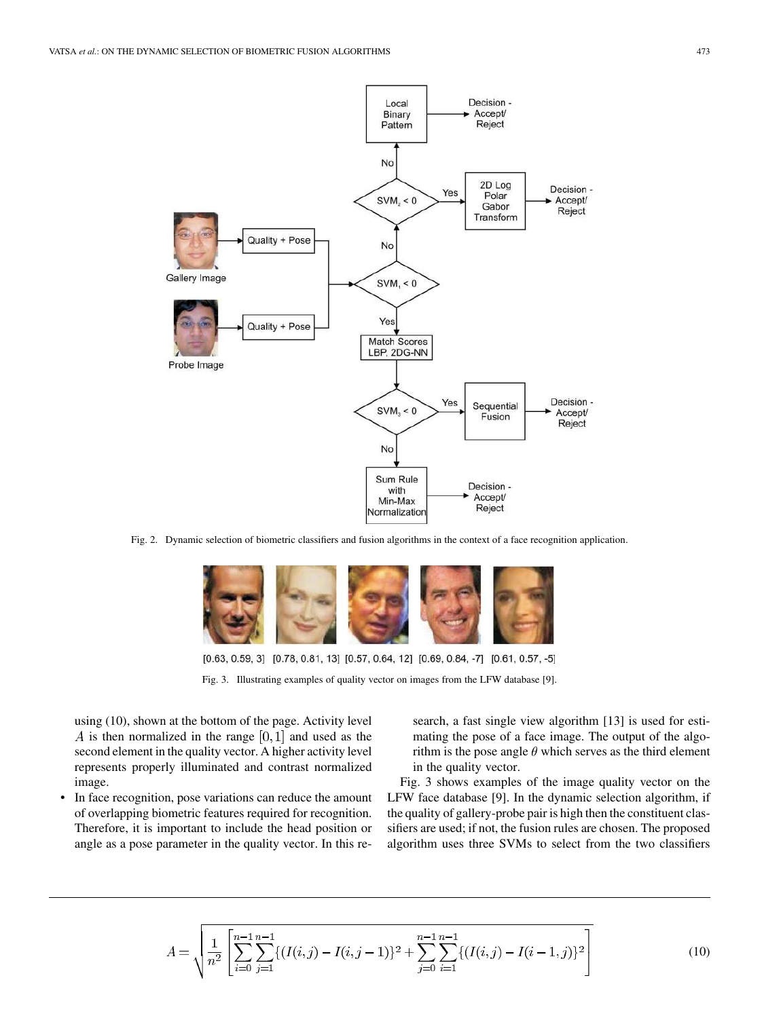

Fig. 2. Dynamic selection of biometric classifiers and fusion algorithms in the context of a face recognition application.



Fig. 3. Illustrating examples of quality vector on images from the LFW database [9].

using (10), shown at the bottom of the page. Activity level A is then normalized in the range  $[0,1]$  and used as the second element in the quality vector. A higher activity level represents properly illuminated and contrast normalized image.

• In face recognition, pose variations can reduce the amount of overlapping biometric features required for recognition. Therefore, it is important to include the head position or angle as a pose parameter in the quality vector. In this research, a fast single view algorithm [13] is used for estimating the pose of a face image. The output of the algorithm is the pose angle  $\theta$  which serves as the third element in the quality vector.

Fig. 3 shows examples of the image quality vector on the LFW face database [9]. In the dynamic selection algorithm, if the quality of gallery-probe pair is high then the constituent classifiers are used; if not, the fusion rules are chosen. The proposed algorithm uses three SVMs to select from the two classifiers

$$
A = \sqrt{\frac{1}{n^2} \left[ \sum_{i=0}^{n-1} \sum_{j=1}^{n-1} \{ (I(i,j) - I(i, j-1)) \}^2 + \sum_{j=0}^{n-1} \sum_{i=1}^{n-1} \{ (I(i,j) - I(i-1,j)) \}^2 \right]}
$$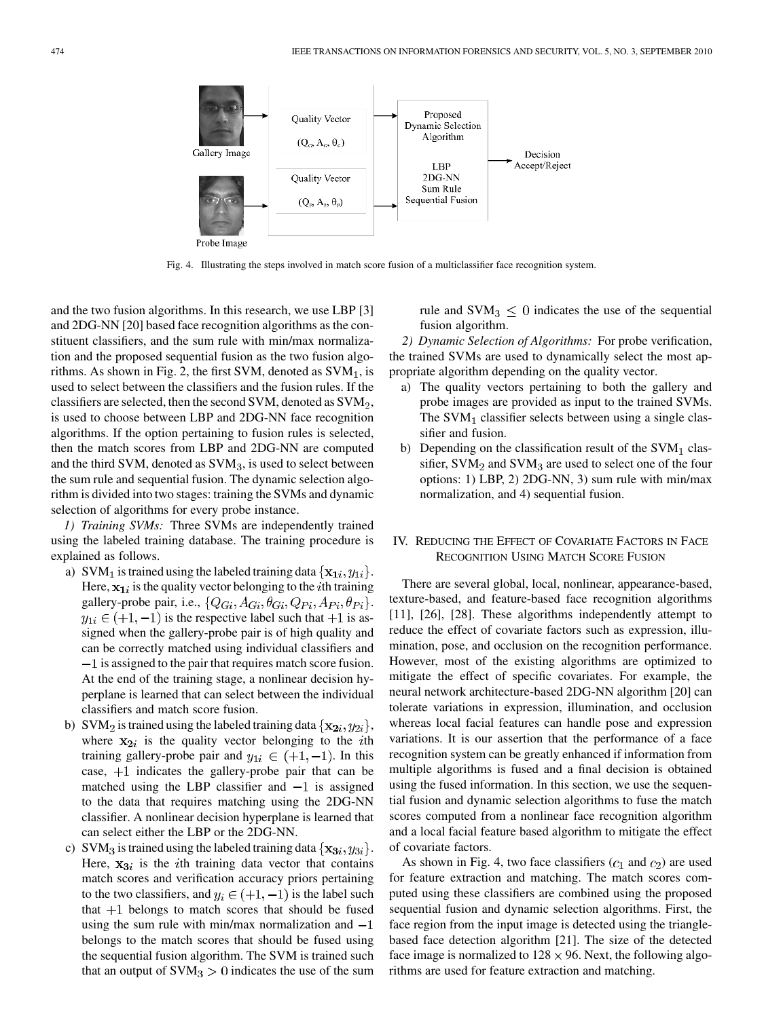

Fig. 4. Illustrating the steps involved in match score fusion of a multiclassifier face recognition system.

and the two fusion algorithms. In this research, we use LBP [3] and 2DG-NN [20] based face recognition algorithms as the constituent classifiers, and the sum rule with min/max normalization and the proposed sequential fusion as the two fusion algorithms. As shown in Fig. 2, the first SVM, denoted as  $\text{SVM}_1$ , is used to select between the classifiers and the fusion rules. If the classifiers are selected, then the second SVM, denoted as  $\text{SVM}_2$ , is used to choose between LBP and 2DG-NN face recognition algorithms. If the option pertaining to fusion rules is selected, then the match scores from LBP and 2DG-NN are computed and the third SVM, denoted as  $\text{SVM}_3$ , is used to select between the sum rule and sequential fusion. The dynamic selection algorithm is divided into two stages: training the SVMs and dynamic selection of algorithms for every probe instance.

*1) Training SVMs:* Three SVMs are independently trained using the labeled training database. The training procedure is explained as follows.

- a) SVM<sub>1</sub> is trained using the labeled training data  $\{x_{1i}, y_{1i}\}.$ Here,  $x_{1i}$  is the quality vector belonging to the *i*th training gallery-probe pair, i.e.,  $\{Q_{Gi}, A_{Gi}, \theta_{Gi}, Q_{Pi}, A_{Pi}, \theta_{Pi}\}.$  $y_{1i} \in (+1, -1)$  is the respective label such that  $+1$  is assigned when the gallery-probe pair is of high quality and can be correctly matched using individual classifiers and  $-1$  is assigned to the pair that requires match score fusion. At the end of the training stage, a nonlinear decision hyperplane is learned that can select between the individual classifiers and match score fusion.
- b) SVM<sub>2</sub> is trained using the labeled training data  ${x_2, y_{2i}}$ , where  $x_{2i}$  is the quality vector belonging to the *i*th training gallery-probe pair and  $y_{1i} \in (+1, -1)$ . In this case,  $+1$  indicates the gallery-probe pair that can be matched using the LBP classifier and  $-1$  is assigned to the data that requires matching using the 2DG-NN classifier. A nonlinear decision hyperplane is learned that can select either the LBP or the 2DG-NN.
- c) SVM<sub>3</sub> is trained using the labeled training data  $\{x_{3i}, y_{3i}\}.$ Here,  $x_{3i}$  is the *i*th training data vector that contains match scores and verification accuracy priors pertaining to the two classifiers, and  $y_i \in (+1, -1)$  is the label such that  $+1$  belongs to match scores that should be fused using the sum rule with min/max normalization and  $-1$ belongs to the match scores that should be fused using the sequential fusion algorithm. The SVM is trained such that an output of  $\text{SVM}_3 > 0$  indicates the use of the sum

rule and  $\text{SVM}_3 \leq 0$  indicates the use of the sequential fusion algorithm.

*2) Dynamic Selection of Algorithms:* For probe verification, the trained SVMs are used to dynamically select the most appropriate algorithm depending on the quality vector.

- a) The quality vectors pertaining to both the gallery and probe images are provided as input to the trained SVMs. The  $SVM<sub>1</sub>$  classifier selects between using a single classifier and fusion.
- b) Depending on the classification result of the  $SVM<sub>1</sub>$  classifier,  $\text{SVM}_2$  and  $\text{SVM}_3$  are used to select one of the four options: 1) LBP, 2) 2DG-NN, 3) sum rule with min/max normalization, and 4) sequential fusion.

# IV. REDUCING THE EFFECT OF COVARIATE FACTORS IN FACE RECOGNITION USING MATCH SCORE FUSION

There are several global, local, nonlinear, appearance-based, texture-based, and feature-based face recognition algorithms [11], [26], [28]. These algorithms independently attempt to reduce the effect of covariate factors such as expression, illumination, pose, and occlusion on the recognition performance. However, most of the existing algorithms are optimized to mitigate the effect of specific covariates. For example, the neural network architecture-based 2DG-NN algorithm [20] can tolerate variations in expression, illumination, and occlusion whereas local facial features can handle pose and expression variations. It is our assertion that the performance of a face recognition system can be greatly enhanced if information from multiple algorithms is fused and a final decision is obtained using the fused information. In this section, we use the sequential fusion and dynamic selection algorithms to fuse the match scores computed from a nonlinear face recognition algorithm and a local facial feature based algorithm to mitigate the effect of covariate factors.

As shown in Fig. 4, two face classifiers  $(c_1$  and  $c_2$ ) are used for feature extraction and matching. The match scores computed using these classifiers are combined using the proposed sequential fusion and dynamic selection algorithms. First, the face region from the input image is detected using the trianglebased face detection algorithm [21]. The size of the detected face image is normalized to  $128 \times 96$ . Next, the following algorithms are used for feature extraction and matching.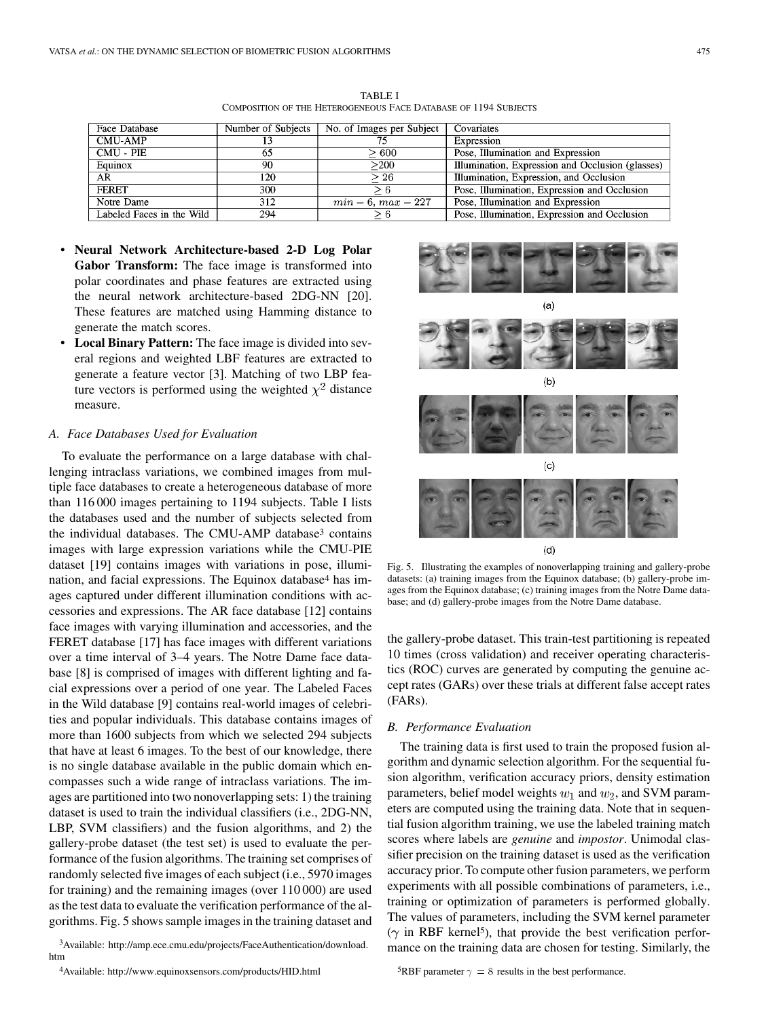| Face Database             | Number of Subjects | No. of Images per Subject | Covariates                                       |  |
|---------------------------|--------------------|---------------------------|--------------------------------------------------|--|
| CMU-AMP                   |                    | 75                        | Expression                                       |  |
| CMU - PIE                 | 65                 | >600                      | Pose, Illumination and Expression                |  |
| Equinox                   | 90                 | >200                      | Illumination, Expression and Occlusion (glasses) |  |
| AR.                       | 120                | >26                       | Illumination, Expression, and Occlusion          |  |
| <b>FERET</b>              | 300                | $\geq 6$                  | Pose, Illumination, Expression and Occlusion     |  |
| Notre Dame                | 312                | $min - 6, max - 227$      | Pose, Illumination and Expression                |  |
| Labeled Faces in the Wild | 294                | > 6                       | Pose, Illumination, Expression and Occlusion     |  |

TABLE I COMPOSITION OF THE HETEROGENEOUS FACE DATABASE OF 1194 SUBJECTS

- **Neural Network Architecture-based 2-D Log Polar Gabor Transform:** The face image is transformed into polar coordinates and phase features are extracted using the neural network architecture-based 2DG-NN [20]. These features are matched using Hamming distance to generate the match scores.
- **Local Binary Pattern:** The face image is divided into several regions and weighted LBF features are extracted to generate a feature vector [3]. Matching of two LBP feature vectors is performed using the weighted  $\chi^2$  distance measure.

# *A. Face Databases Used for Evaluation*

To evaluate the performance on a large database with challenging intraclass variations, we combined images from multiple face databases to create a heterogeneous database of more than 116 000 images pertaining to 1194 subjects. Table I lists the databases used and the number of subjects selected from the individual databases. The CMU-AMP database<sup>3</sup> contains images with large expression variations while the CMU-PIE dataset [19] contains images with variations in pose, illumination, and facial expressions. The Equinox database<sup>4</sup> has images captured under different illumination conditions with accessories and expressions. The AR face database [12] contains face images with varying illumination and accessories, and the FERET database [17] has face images with different variations over a time interval of 3–4 years. The Notre Dame face database [8] is comprised of images with different lighting and facial expressions over a period of one year. The Labeled Faces in the Wild database [9] contains real-world images of celebrities and popular individuals. This database contains images of more than 1600 subjects from which we selected 294 subjects that have at least 6 images. To the best of our knowledge, there is no single database available in the public domain which encompasses such a wide range of intraclass variations. The images are partitioned into two nonoverlapping sets: 1) the training dataset is used to train the individual classifiers (i.e., 2DG-NN, LBP, SVM classifiers) and the fusion algorithms, and 2) the gallery-probe dataset (the test set) is used to evaluate the performance of the fusion algorithms. The training set comprises of randomly selected five images of each subject (i.e., 5970 images for training) and the remaining images (over 110 000) are used as the test data to evaluate the verification performance of the algorithms. Fig. 5 shows sample images in the training dataset and

<sup>3</sup>Available: http://amp.ece.cmu.edu/projects/FaceAuthentication/download. htm



Fig. 5. Illustrating the examples of nonoverlapping training and gallery-probe datasets: (a) training images from the Equinox database; (b) gallery-probe images from the Equinox database; (c) training images from the Notre Dame data-

base; and (d) gallery-probe images from the Notre Dame database.

the gallery-probe dataset. This train-test partitioning is repeated 10 times (cross validation) and receiver operating characteristics (ROC) curves are generated by computing the genuine accept rates (GARs) over these trials at different false accept rates (FARs).

# *B. Performance Evaluation*

The training data is first used to train the proposed fusion algorithm and dynamic selection algorithm. For the sequential fusion algorithm, verification accuracy priors, density estimation parameters, belief model weights  $w_1$  and  $w_2$ , and SVM parameters are computed using the training data. Note that in sequential fusion algorithm training, we use the labeled training match scores where labels are *genuine* and *impostor*. Unimodal classifier precision on the training dataset is used as the verification accuracy prior. To compute other fusion parameters, we perform experiments with all possible combinations of parameters, i.e., training or optimization of parameters is performed globally. The values of parameters, including the SVM kernel parameter ( $\gamma$  in RBF kernel<sup>5</sup>), that provide the best verification performance on the training data are chosen for testing. Similarly, the

<sup>5</sup>RBF parameter  $\gamma = 8$  results in the best performance.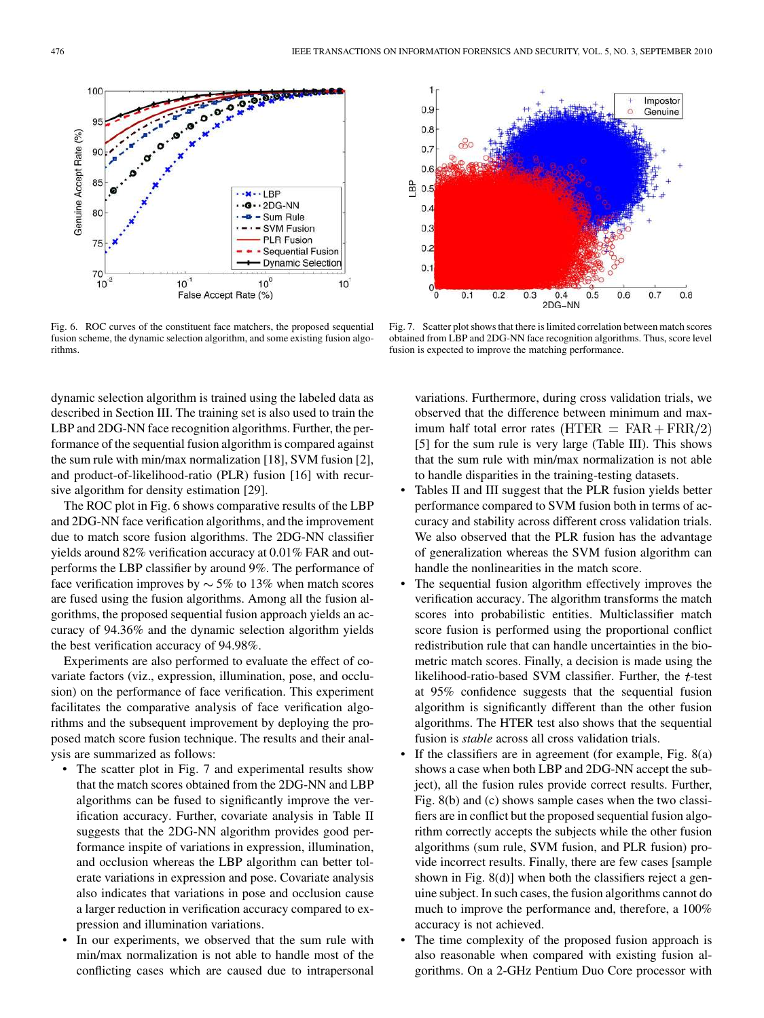

Fig. 6. ROC curves of the constituent face matchers, the proposed sequential fusion scheme, the dynamic selection algorithm, and some existing fusion algorithms.

dynamic selection algorithm is trained using the labeled data as described in Section III. The training set is also used to train the LBP and 2DG-NN face recognition algorithms. Further, the performance of the sequential fusion algorithm is compared against the sum rule with min/max normalization [18], SVM fusion [2], and product-of-likelihood-ratio (PLR) fusion [16] with recursive algorithm for density estimation [29].

The ROC plot in Fig. 6 shows comparative results of the LBP and 2DG-NN face verification algorithms, and the improvement due to match score fusion algorithms. The 2DG-NN classifier yields around 82% verification accuracy at 0.01% FAR and outperforms the LBP classifier by around 9%. The performance of face verification improves by  $\sim$  5% to 13% when match scores are fused using the fusion algorithms. Among all the fusion algorithms, the proposed sequential fusion approach yields an accuracy of 94.36% and the dynamic selection algorithm yields the best verification accuracy of 94.98%.

Experiments are also performed to evaluate the effect of covariate factors (viz., expression, illumination, pose, and occlusion) on the performance of face verification. This experiment facilitates the comparative analysis of face verification algorithms and the subsequent improvement by deploying the proposed match score fusion technique. The results and their analysis are summarized as follows:

- The scatter plot in Fig. 7 and experimental results show that the match scores obtained from the 2DG-NN and LBP algorithms can be fused to significantly improve the verification accuracy. Further, covariate analysis in Table II suggests that the 2DG-NN algorithm provides good performance inspite of variations in expression, illumination, and occlusion whereas the LBP algorithm can better tolerate variations in expression and pose. Covariate analysis also indicates that variations in pose and occlusion cause a larger reduction in verification accuracy compared to expression and illumination variations.
- In our experiments, we observed that the sum rule with min/max normalization is not able to handle most of the conflicting cases which are caused due to intrapersonal



Fig. 7. Scatter plot shows that there is limited correlation between match scores obtained from LBP and 2DG-NN face recognition algorithms. Thus, score level fusion is expected to improve the matching performance.

variations. Furthermore, during cross validation trials, we observed that the difference between minimum and maximum half total error rates  $(HTER = FAR + FRR/2)$ [5] for the sum rule is very large (Table III). This shows that the sum rule with min/max normalization is not able to handle disparities in the training-testing datasets.

- Tables II and III suggest that the PLR fusion yields better performance compared to SVM fusion both in terms of accuracy and stability across different cross validation trials. We also observed that the PLR fusion has the advantage of generalization whereas the SVM fusion algorithm can handle the nonlinearities in the match score.
- The sequential fusion algorithm effectively improves the verification accuracy. The algorithm transforms the match scores into probabilistic entities. Multiclassifier match score fusion is performed using the proportional conflict redistribution rule that can handle uncertainties in the biometric match scores. Finally, a decision is made using the likelihood-ratio-based SVM classifier. Further, the  $t$ -test at 95% confidence suggests that the sequential fusion algorithm is significantly different than the other fusion algorithms. The HTER test also shows that the sequential fusion is *stable* across all cross validation trials.
- If the classifiers are in agreement (for example, Fig.  $8(a)$ ) shows a case when both LBP and 2DG-NN accept the subject), all the fusion rules provide correct results. Further, Fig. 8(b) and (c) shows sample cases when the two classifiers are in conflict but the proposed sequential fusion algorithm correctly accepts the subjects while the other fusion algorithms (sum rule, SVM fusion, and PLR fusion) provide incorrect results. Finally, there are few cases [sample shown in Fig. 8(d)] when both the classifiers reject a genuine subject. In such cases, the fusion algorithms cannot do much to improve the performance and, therefore, a 100% accuracy is not achieved.
- The time complexity of the proposed fusion approach is also reasonable when compared with existing fusion algorithms. On a 2-GHz Pentium Duo Core processor with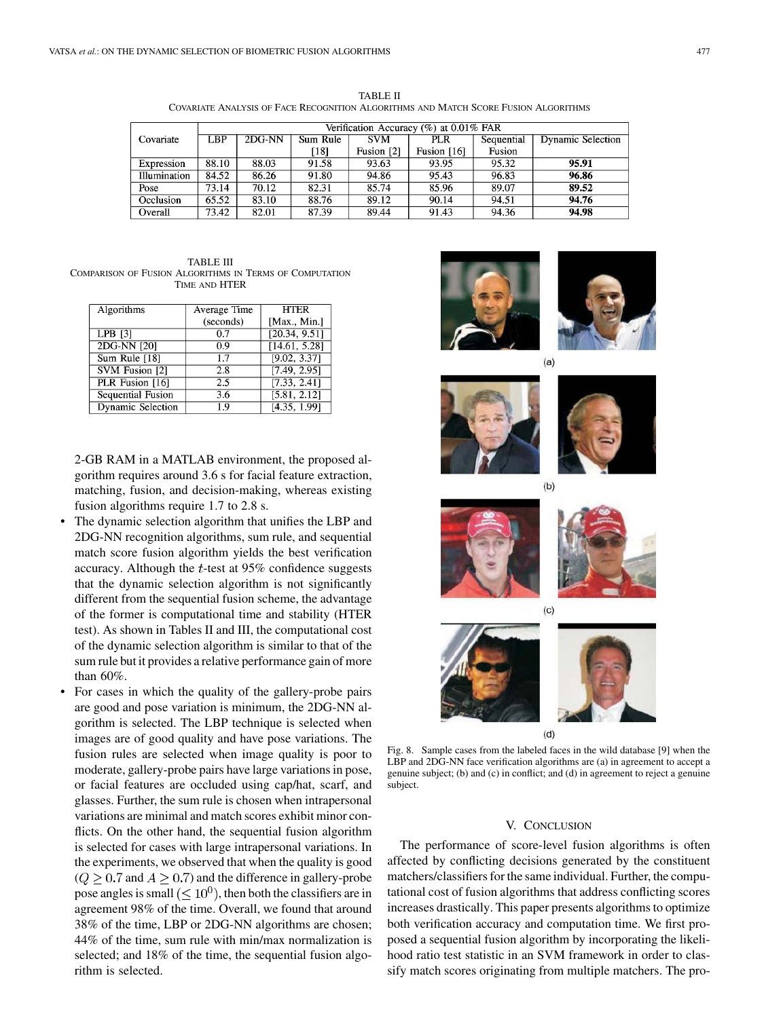85.96

90.14

91.43

TABLE II COVARIATE ANALYSIS OF FACE RECOGNITION ALGORITHMS AND MATCH SCORE FUSION ALGORITHMS

85.74

89.12

89.44

82.31

88.76

87.39

| TABLE III                                               |
|---------------------------------------------------------|
| COMPARISON OF FUSION ALGORITHMS IN TERMS OF COMPUTATION |
| TIME AND HTER                                           |

 $73.14$ 

65.52

73.42

 $70.12$ 

83.10

82.01

Pose

Occlusion

Overall

| Algorithms               | Average Time | <b>HTER</b>   |
|--------------------------|--------------|---------------|
|                          | (seconds)    | [Max., Min.]  |
| $LPB$ [3]                | 0.7          | [20.34, 9.51] |
| 2DG-NN [20]              | 0.9          | [14.61, 5.28] |
| Sum Rule [18]            | 1.7          | [9.02, 3.37]  |
| SVM Fusion [2]           | 2.8          | [7.49, 2.95]  |
| PLR Fusion [16]          | 2.5          | [7.33, 2.41]  |
| <b>Sequential Fusion</b> | 3.6          | [5.81, 2.12]  |
| <b>Dynamic Selection</b> | 1.9          | [4.35, 1.99]  |

2-GB RAM in a MATLAB environment, the proposed algorithm requires around 3.6 s for facial feature extraction, matching, fusion, and decision-making, whereas existing fusion algorithms require 1.7 to 2.8 s.

- The dynamic selection algorithm that unifies the LBP and 2DG-NN recognition algorithms, sum rule, and sequential match score fusion algorithm yields the best verification accuracy. Although the  $t$ -test at 95% confidence suggests that the dynamic selection algorithm is not significantly different from the sequential fusion scheme, the advantage of the former is computational time and stability (HTER test). As shown in Tables II and III, the computational cost of the dynamic selection algorithm is similar to that of the sum rule but it provides a relative performance gain of more than 60%.
- For cases in which the quality of the gallery-probe pairs are good and pose variation is minimum, the 2DG-NN algorithm is selected. The LBP technique is selected when images are of good quality and have pose variations. The fusion rules are selected when image quality is poor to moderate, gallery-probe pairs have large variations in pose, or facial features are occluded using cap/hat, scarf, and glasses. Further, the sum rule is chosen when intrapersonal variations are minimal and match scores exhibit minor conflicts. On the other hand, the sequential fusion algorithm is selected for cases with large intrapersonal variations. In the experiments, we observed that when the quality is good  $(Q > 0.7$  and  $A > 0.7$ ) and the difference in gallery-probe pose angles is small ( $\leq 10^0$ ), then both the classifiers are in agreement 98% of the time. Overall, we found that around 38% of the time, LBP or 2DG-NN algorithms are chosen; 44% of the time, sum rule with min/max normalization is selected; and 18% of the time, the sequential fusion algorithm is selected.



89.07

94.51

94.36



89.52

94.76

94.98





Fig. 8. Sample cases from the labeled faces in the wild database [9] when the LBP and 2DG-NN face verification algorithms are (a) in agreement to accept a genuine subject; (b) and (c) in conflict; and (d) in agreement to reject a genuine subject.

## V. CONCLUSION

The performance of score-level fusion algorithms is often affected by conflicting decisions generated by the constituent matchers/classifiers for the same individual. Further, the computational cost of fusion algorithms that address conflicting scores increases drastically. This paper presents algorithms to optimize both verification accuracy and computation time. We first proposed a sequential fusion algorithm by incorporating the likelihood ratio test statistic in an SVM framework in order to classify match scores originating from multiple matchers. The pro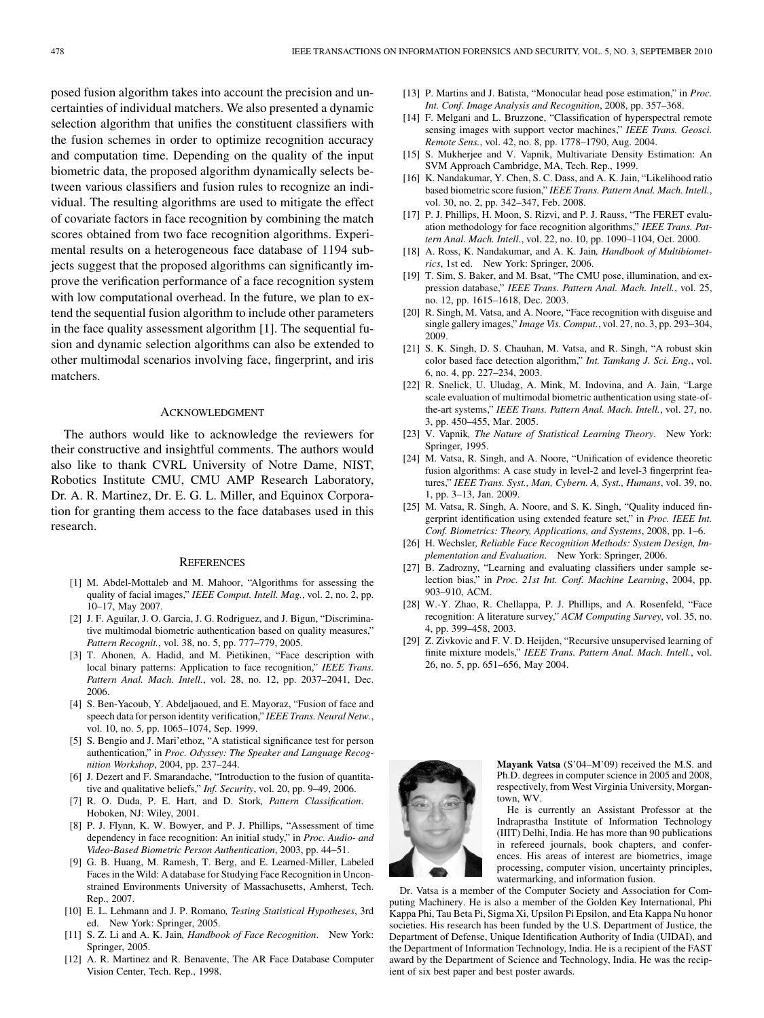posed fusion algorithm takes into account the precision and uncertainties of individual matchers. We also presented a dynamic selection algorithm that unifies the constituent classifiers with the fusion schemes in order to optimize recognition accuracy and computation time. Depending on the quality of the input biometric data, the proposed algorithm dynamically selects between various classifiers and fusion rules to recognize an individual. The resulting algorithms are used to mitigate the effect of covariate factors in face recognition by combining the match scores obtained from two face recognition algorithms. Experimental results on a heterogeneous face database of 1194 subjects suggest that the proposed algorithms can significantly improve the verification performance of a face recognition system with low computational overhead. In the future, we plan to extend the sequential fusion algorithm to include other parameters in the face quality assessment algorithm [1]. The sequential fusion and dynamic selection algorithms can also be extended to other multimodal scenarios involving face, fingerprint, and iris matchers.

#### ACKNOWLEDGMENT

The authors would like to acknowledge the reviewers for their constructive and insightful comments. The authors would also like to thank CVRL University of Notre Dame, NIST, Robotics Institute CMU, CMU AMP Research Laboratory, Dr. A. R. Martinez, Dr. E. G. L. Miller, and Equinox Corporation for granting them access to the face databases used in this research.

## **REFERENCES**

- [1] M. Abdel-Mottaleb and M. Mahoor, "Algorithms for assessing the quality of facial images," *IEEE Comput. Intell. Mag.*, vol. 2, no. 2, pp. 10–17, May 2007.
- [2] J. F. Aguilar, J. O. Garcia, J. G. Rodriguez, and J. Bigun, "Discriminative multimodal biometric authentication based on quality measures," *Pattern Recognit.*, vol. 38, no. 5, pp. 777–779, 2005.
- [3] T. Ahonen, A. Hadid, and M. Pietikinen, "Face description with local binary patterns: Application to face recognition," *IEEE Trans. Pattern Anal. Mach. Intell.*, vol. 28, no. 12, pp. 2037–2041, Dec. 2006.
- [4] S. Ben-Yacoub, Y. Abdeljaoued, and E. Mayoraz, "Fusion of face and speech data for person identity verification," *IEEE Trans. Neural Netw.*, vol. 10, no. 5, pp. 1065–1074, Sep. 1999.
- [5] S. Bengio and J. Mari'ethoz, "A statistical significance test for person authentication," in *Proc. Odyssey: The Speaker and Language Recognition Workshop*, 2004, pp. 237–244.
- [6] J. Dezert and F. Smarandache, "Introduction to the fusion of quantitative and qualitative beliefs," *Inf. Security*, vol. 20, pp. 9–49, 2006.
- [7] R. O. Duda, P. E. Hart, and D. Stork*, Pattern Classification*. Hoboken, NJ: Wiley, 2001.
- [8] P. J. Flynn, K. W. Bowyer, and P. J. Phillips, "Assessment of time dependency in face recognition: An initial study," in *Proc. Audio- and Video-Based Biometric Person Authentication*, 2003, pp. 44–51.
- [9] G. B. Huang, M. Ramesh, T. Berg, and E. Learned-Miller, Labeled Faces in the Wild: A database for Studying Face Recognition in Unconstrained Environments University of Massachusetts, Amherst, Tech. Rep., 2007.
- [10] E. L. Lehmann and J. P. Romano*, Testing Statistical Hypotheses*, 3rd ed. New York: Springer, 2005.
- [11] S. Z. Li and A. K. Jain*, Handbook of Face Recognition*. New York: Springer, 2005.
- [12] A. R. Martinez and R. Benavente, The AR Face Database Computer Vision Center, Tech. Rep., 1998.
- [13] P. Martins and J. Batista, "Monocular head pose estimation," in *Proc. Int. Conf. Image Analysis and Recognition*, 2008, pp. 357–368.
- [14] F. Melgani and L. Bruzzone, "Classification of hyperspectral remote sensing images with support vector machines," *IEEE Trans. Geosci. Remote Sens.*, vol. 42, no. 8, pp. 1778–1790, Aug. 2004.
- [15] S. Mukherjee and V. Vapnik, Multivariate Density Estimation: An SVM Approach Cambridge, MA, Tech. Rep., 1999.
- [16] K. Nandakumar, Y. Chen, S. C. Dass, and A. K. Jain, "Likelihood ratio based biometric score fusion," *IEEE Trans. Pattern Anal. Mach. Intell.*, vol. 30, no. 2, pp. 342–347, Feb. 2008.
- [17] P. J. Phillips, H. Moon, S. Rizvi, and P. J. Rauss, "The FERET evaluation methodology for face recognition algorithms," *IEEE Trans. Pattern Anal. Mach. Intell.*, vol. 22, no. 10, pp. 1090–1104, Oct. 2000.
- [18] A. Ross, K. Nandakumar, and A. K. Jain*, Handbook of Multibiometrics*, 1st ed. New York: Springer, 2006.
- [19] T. Sim, S. Baker, and M. Bsat, "The CMU pose, illumination, and expression database," *IEEE Trans. Pattern Anal. Mach. Intell.*, vol. 25, no. 12, pp. 1615–1618, Dec. 2003.
- [20] R. Singh, M. Vatsa, and A. Noore, "Face recognition with disguise and single gallery images," *Image Vis. Comput.*, vol. 27, no. 3, pp. 293–304, 2009.
- [21] S. K. Singh, D. S. Chauhan, M. Vatsa, and R. Singh, "A robust skin color based face detection algorithm," *Int. Tamkang J. Sci. Eng.*, vol. 6, no. 4, pp. 227–234, 2003.
- [22] R. Snelick, U. Uludag, A. Mink, M. Indovina, and A. Jain, "Large scale evaluation of multimodal biometric authentication using state-ofthe-art systems," *IEEE Trans. Pattern Anal. Mach. Intell.*, vol. 27, no. 3, pp. 450–455, Mar. 2005.
- [23] V. Vapnik*, The Nature of Statistical Learning Theory*. New York: Springer, 1995.
- [24] M. Vatsa, R. Singh, and A. Noore, "Unification of evidence theoretic fusion algorithms: A case study in level-2 and level-3 fingerprint features," *IEEE Trans. Syst., Man, Cybern. A, Syst., Humans*, vol. 39, no. 1, pp. 3–13, Jan. 2009.
- [25] M. Vatsa, R. Singh, A. Noore, and S. K. Singh, "Quality induced fingerprint identification using extended feature set," in *Proc. IEEE Int. Conf. Biometrics: Theory, Applications, and Systems*, 2008, pp. 1–6.
- [26] H. Wechsler, *Reliable Face Recognition Methods: System Design, Implementation and Evaluation*. New York: Springer, 2006.
- [27] B. Zadrozny, "Learning and evaluating classifiers under sample selection bias," in *Proc. 21st Int. Conf. Machine Learning*, 2004, pp. 903–910, ACM.
- [28] W.-Y. Zhao, R. Chellappa, P. J. Phillips, and A. Rosenfeld, "Face recognition: A literature survey," *ACM Computing Survey*, vol. 35, no. 4, pp. 399–458, 2003.
- [29] Z. Zivkovic and F. V. D. Heijden, "Recursive unsupervised learning of finite mixture models," *IEEE Trans. Pattern Anal. Mach. Intell.*, vol. 26, no. 5, pp. 651–656, May 2004.



**Mayank Vatsa** (S'04–M'09) received the M.S. and Ph.D. degrees in computer science in 2005 and 2008, respectively, from West Virginia University, Morgantown, WV.

He is currently an Assistant Professor at the Indraprastha Institute of Information Technology (IIIT) Delhi, India. He has more than 90 publications in refereed journals, book chapters, and conferences. His areas of interest are biometrics, image processing, computer vision, uncertainty principles, watermarking, and information fusion.

Dr. Vatsa is a member of the Computer Society and Association for Computing Machinery. He is also a member of the Golden Key International, Phi Kappa Phi, Tau Beta Pi, Sigma Xi, Upsilon Pi Epsilon, and Eta Kappa Nu honor societies. His research has been funded by the U.S. Department of Justice, the Department of Defense, Unique Identification Authority of India (UIDAI), and the Department of Information Technology, India. He is a recipient of the FAST award by the Department of Science and Technology, India. He was the recipient of six best paper and best poster awards.